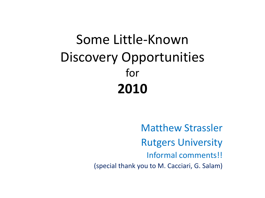#### Some Little-Known Discovery Opportunities for **2010**

Matthew Strassler Rutgers University Informal comments!! (special thank you to M. Cacciari, G. Salam)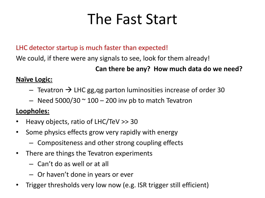## The Fast Start

#### LHC detector startup is much faster than expected!

We could, if there were any signals to see, look for them already!

#### **Can there be any? How much data do we need?**

#### **Naïve Logic:**

- $-$  Tevatron  $\rightarrow$  LHC gg, qg parton luminosities increase of order 30
- $-$  Need 5000/30  $\sim$  100  $-$  200 inv pb to match Tevatron

#### **Loopholes:**

- Heavy objects, ratio of LHC/TeV >> 30
- Some physics effects grow very rapidly with energy
	- Compositeness and other strong coupling effects
- There are things the Tevatron experiments
	- Can't do as well or at all
	- Or haven't done in years or ever
- Trigger thresholds very low now (e.g. ISR trigger still efficient)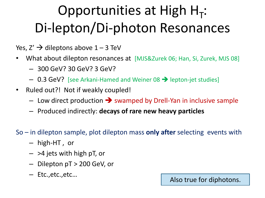# Opportunities at High  $H_T$ : Di-lepton/Di-photon Resonances

- Yes,  $Z' \rightarrow$  dileptons above  $1 3$  TeV
- What about dilepton resonances at [MJS&Zurek 06; Han, Si, Zurek, MJS 08]
	- 300 GeV? 30 GeV? 3 GeV?
	- $-$  0.3 GeV? [see Arkani-Hamed and Weiner 08  $\rightarrow$  lepton-jet studies]
- Ruled out?! Not if weakly coupled!
	- $-$  Low direct production  $\rightarrow$  swamped by Drell-Yan in inclusive sample
	- Produced indirectly: **decays of rare new heavy particles**
- So in dilepton sample, plot dilepton mass **only after** selecting events with
	- high-HT , or
	- $-$  >4 jets with high pT, or
	- Dilepton pT > 200 GeV, or
	- Etc.,etc.,etc…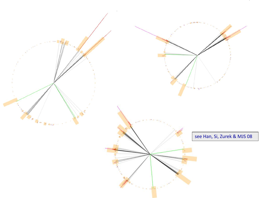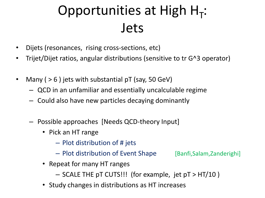# Opportunities at High  $H_T$ : Jets

- Dijets (resonances, rising cross-sections, etc)
- Trijet/Dijet ratios, angular distributions (sensitive to tr G^3 operator)
- Many ( > 6 ) jets with substantial pT (say, 50 GeV)
	- QCD in an unfamiliar and essentially uncalculable regime
	- Could also have new particles decaying dominantly
	- Possible approaches [Needs QCD-theory Input]
		- Pick an HT range
			- Plot distribution of # jets
			- Plot distribution of Event Shape [Banfi,Salam,Zanderighi]

- Repeat for many HT ranges
	- SCALE THE pT CUTS!!! (for example, jet pT > HT/10 )
- Study changes in distributions as HT increases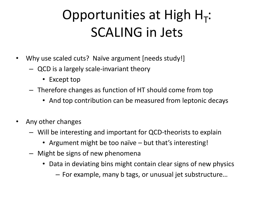# Opportunities at High  $H_T$ : SCALING in Jets

- Why use scaled cuts? Naïve argument [needs study!]
	- QCD is a largely scale-invariant theory
		- Except top
	- Therefore changes as function of HT should come from top
		- And top contribution can be measured from leptonic decays
- Any other changes
	- Will be interesting and important for QCD-theorists to explain
		- Argument might be too naïve but that's interesting!
	- Might be signs of new phenomena
		- Data in deviating bins might contain clear signs of new physics
			- For example, many b tags, or unusual jet substructure…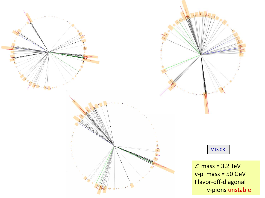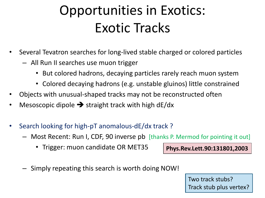#### Opportunities in Exotics: Exotic Tracks

- Several Tevatron searches for long-lived stable charged or colored particles
	- All Run II searches use muon trigger
		- But colored hadrons, decaying particles rarely reach muon system
		- Colored decaying hadrons (e.g. unstable gluinos) little constrained
- Objects with unusual-shaped tracks may not be reconstructed often
- Mesoscopic dipole  $\rightarrow$  straight track with high dE/dx
- Search looking for high-pT anomalous-dE/dx track ?
	- Most Recent: Run I, CDF, 90 inverse pb [thanks P. Mermod for pointing it out]
		- Trigger: muon candidate OR MET35

**Phys.Rev.Lett.90:131801,2003**

– Simply repeating this search is worth doing NOW!

Two track stubs? Track stub plus vertex?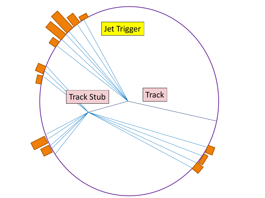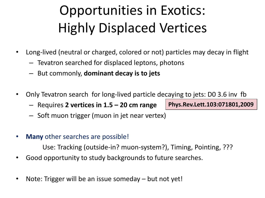# Opportunities in Exotics: Highly Displaced Vertices

- Long-lived (neutral or charged, colored or not) particles may decay in flight
	- Tevatron searched for displaced leptons, photons
	- But commonly, **dominant decay is to jets**
- Only Tevatron search for long-lived particle decaying to jets: D0 3.6 inv fb
	- Requires **2 vertices in 1.5 – 20 cm range**
	- Soft muon trigger (muon in jet near vertex)
- **Many** other searches are possible!

Use: Tracking (outside-in? muon-system?), Timing, Pointing, ???

- Good opportunity to study backgrounds to future searches.
- Note: Trigger will be an issue someday but not yet!

**Phys.Rev.Lett.103:071801,2009**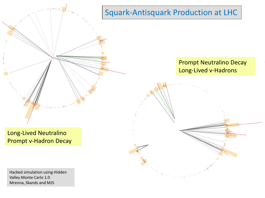

Mrenna, Skands and MJS